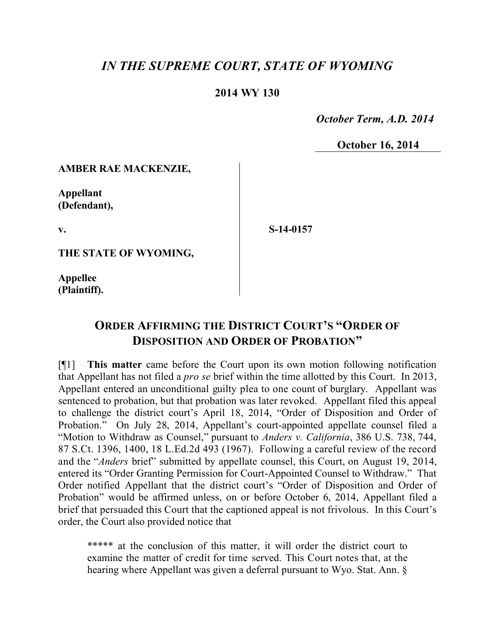## *IN THE SUPREME COURT, STATE OF WYOMING*

## **2014 WY 130**

 *October Term, A.D. 2014*

**October 16, 2014**

**AMBER RAE MACKENZIE,**

**Appellant (Defendant),**

**v.**

**S-14-0157**

**THE STATE OF WYOMING,**

**Appellee (Plaintiff).**

## **ORDER AFFIRMING THE DISTRICT COURT'S "ORDER OF DISPOSITION AND ORDER OF PROBATION"**

[¶1] **This matter** came before the Court upon its own motion following notification that Appellant has not filed a *pro se* brief within the time allotted by this Court. In 2013, Appellant entered an unconditional guilty plea to one count of burglary. Appellant was sentenced to probation, but that probation was later revoked. Appellant filed this appeal to challenge the district court's April 18, 2014, "Order of Disposition and Order of Probation." On July 28, 2014, Appellant's court-appointed appellate counsel filed a "Motion to Withdraw as Counsel," pursuant to *Anders v. California*, 386 U.S. 738, 744, 87 S.Ct. 1396, 1400, 18 L.Ed.2d 493 (1967). Following a careful review of the record and the "*Anders* brief" submitted by appellate counsel, this Court, on August 19, 2014, entered its "Order Granting Permission for Court-Appointed Counsel to Withdraw." That Order notified Appellant that the district court's "Order of Disposition and Order of Probation" would be affirmed unless, on or before October 6, 2014, Appellant filed a brief that persuaded this Court that the captioned appeal is not frivolous. In this Court's order, the Court also provided notice that

\*\*\*\*\* at the conclusion of this matter, it will order the district court to examine the matter of credit for time served. This Court notes that, at the hearing where Appellant was given a deferral pursuant to Wyo. Stat. Ann. §